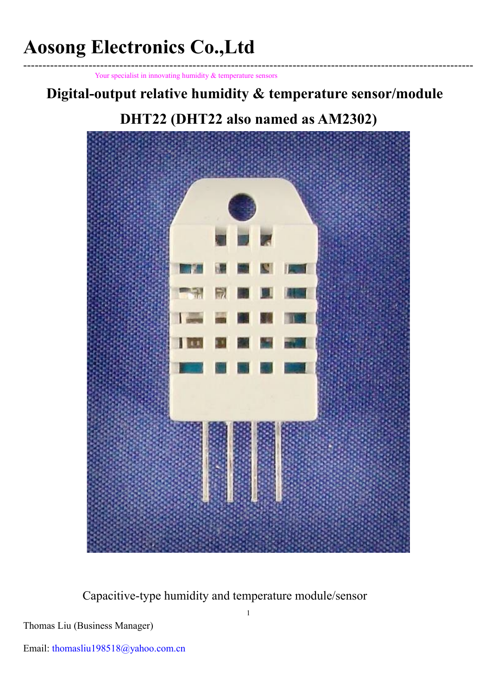--------------------------------------------------------------------------------------------------------------------- Your specialist in innovating humidity  $\&$  temperature sensors

**Digital-output relative humidity & temperature sensor/module** 

### **DHT22 (DHT22 also named as AM2302)**



Capacitive-type humidity and temperature module/sensor

1

Thomas Liu (Business Manager)

Email: [thomasliu198518@yahoo.com.cn](mailto:thomasliu198518@yahoo.com.cn)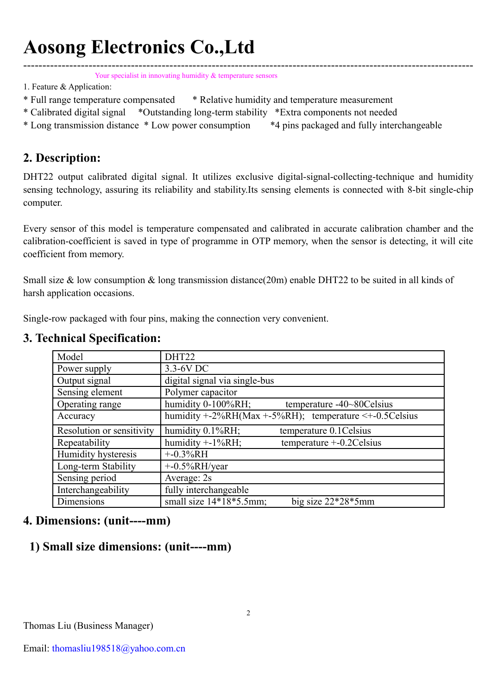--------------------------------------------------------------------------------------------------------------------- Your specialist in innovating humidity & temperature sensors

- 1. Feature & Application:
- \* Full range temperature compensated \* Relative humidity and temperature measurement
- \* Calibrated digital signal \*Outstanding long-term stability \*Extra components not needed
- \* Long transmission distance \* Low power consumption \*4 pins packaged and fully interchangeable

### **2. Description:**

DHT22 output calibrated digital signal. It utilizes exclusive digital-signal-collecting-technique and humidity sensing technology, assuring its reliability and stability.Its sensing elements is connected with 8-bit single-chip computer.

Every sensor of this model is temperature compensated and calibrated in accurate calibration chamber and the calibration-coefficient is saved in type of programme in OTP memory, when the sensor is detecting, it will cite coefficient from memory.

Small size  $\&$  low consumption  $\&$  long transmission distance(20m) enable DHT22 to be suited in all kinds of harsh application occasions.

Single-row packaged with four pins, making the connection very convenient.

### **3. Technical Specification:**

| Model                     | DHT22                                                           |  |  |  |  |
|---------------------------|-----------------------------------------------------------------|--|--|--|--|
| Power supply              | 3.3-6V DC                                                       |  |  |  |  |
| Output signal             | digital signal via single-bus                                   |  |  |  |  |
| Sensing element           | Polymer capacitor                                               |  |  |  |  |
| Operating range           | humidity 0-100%RH;<br>temperature -40~80Celsius                 |  |  |  |  |
| Accuracy                  | humidity $+2\%RH(Max +5\%RH)$ ; temperature $\leq +0.5C$ elsius |  |  |  |  |
| Resolution or sensitivity | humidity 0.1%RH;<br>temperature 0.1 Celsius                     |  |  |  |  |
| Repeatability             | humidity $+$ -1%RH;<br>temperature $+-0.2C$ elsius              |  |  |  |  |
| Humidity hysteresis       | $+ -0.3\%RH$                                                    |  |  |  |  |
| Long-term Stability       | $+$ -0.5%RH/year                                                |  |  |  |  |
| Sensing period            | Average: 2s                                                     |  |  |  |  |
| Interchangeability        | fully interchangeable                                           |  |  |  |  |
| Dimensions                | small size $14*18*5.5$ mm;<br>big size 22*28*5mm                |  |  |  |  |

### **4. Dimensions: (unit----mm)**

### **1) Small size dimensions: (unit----mm)**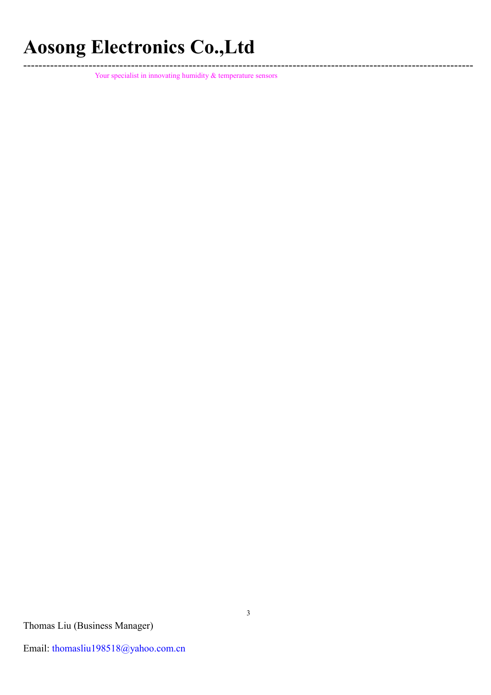--------------------------------------------------------------------------------------------------------------------- Your specialist in innovating humidity & temperature sensors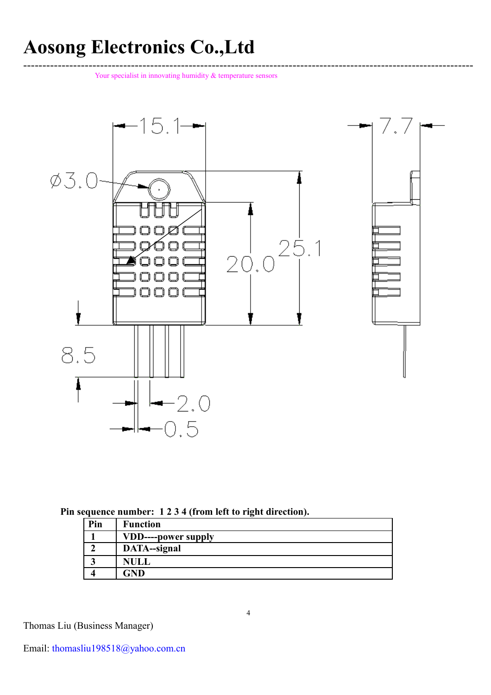--------------------------------------------------------------------------------------------------------------------- Your specialist in innovating humidity & temperature sensors



### **Pin sequence number: 1 2 3 4 (from left to right direction).**

| Pin | <b>Function</b>            |
|-----|----------------------------|
|     | <b>VDD----power supply</b> |
|     | DATA--signal               |
|     | <b>NULL</b>                |
|     | <b>GND</b>                 |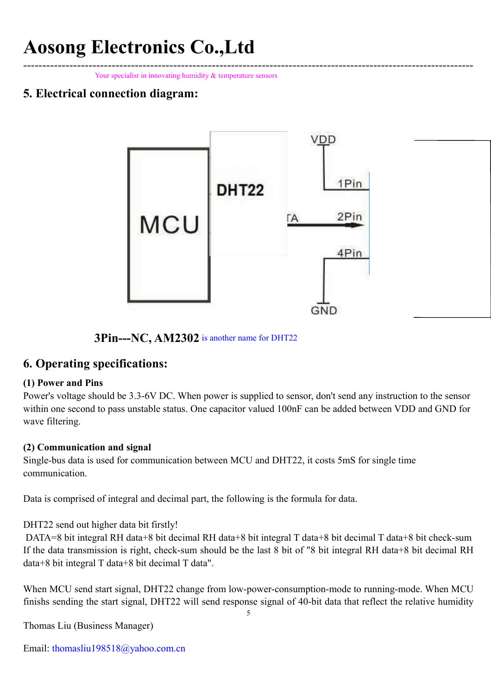--------------------------------------------------------------------------------------------------------------------- Your specialist in innovating humidity & temperature sensors

### **5. Electrical connection diagram:**



 **3Pin---NC, AM2302** is another name for DHT22

### **6. Operating specifications:**

#### **(1) Power and Pins**

Power's voltage should be 3.3-6V DC. When power is supplied to sensor, don't send any instruction to the sensor within one second to pass unstable status. One capacitor valued 100nF can be added between VDD and GND for wave filtering.

#### **(2) Communication and signal**

Single-bus data is used for communication between MCU and DHT22, it costs 5mS for single time communication.

Data is comprised of integral and decimal part, the following is the formula for data.

DHT22 send out higher data bit firstly!

 DATA=8 bit integral RH data+8 bit decimal RH data+8 bit integral T data+8 bit decimal T data+8 bit check-sum If the data transmission is right, check-sum should be the last 8 bit of "8 bit integral RH data+8 bit decimal RH data+8 bit integral T data+8 bit decimal T data".

When MCU send start signal, DHT22 change from low-power-consumption-mode to running-mode. When MCU finishs sending the start signal, DHT22 will send response signal of 40-bit data that reflect the relative humidity

5

Thomas Liu (Business Manager)

Email: [thomasliu198518@yahoo.com.cn](mailto:thomasliu198518@yahoo.com.cn)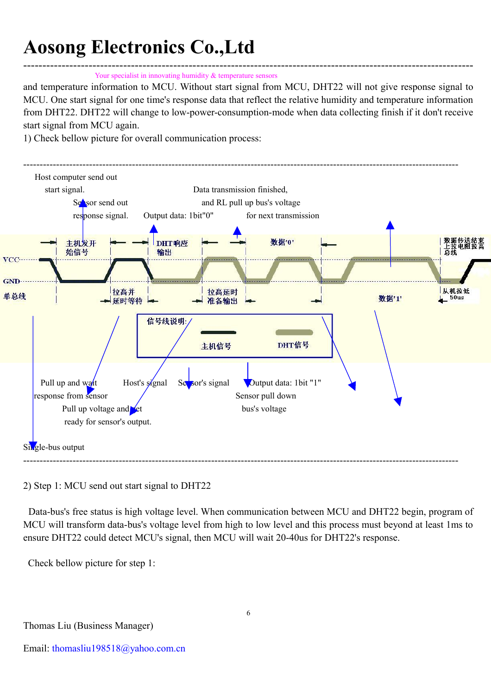#### --------------------------------------------------------------------------------------------------------------------- Your specialist in innovating humidity & temperature sensors

and temperature information to MCU. Without start signal from MCU, DHT22 will not give response signal to MCU. One start signal for one time's response data that reflect the relative humidity and temperature information from DHT22. DHT22 will change to low-power-consumption-mode when data collecting finish if it don't receive start signal from MCU again.

1) Check bellow picture for overall communication process:



#### 2) Step 1: MCU send out start signal to DHT22

 Data-bus's free status is high voltage level. When communication between MCU and DHT22 begin, program of MCU will transform data-bus's voltage level from high to low level and this process must beyond at least 1ms to ensure DHT22 could detect MCU's signal, then MCU will wait 20-40us for DHT22's response.

Check bellow picture for step 1: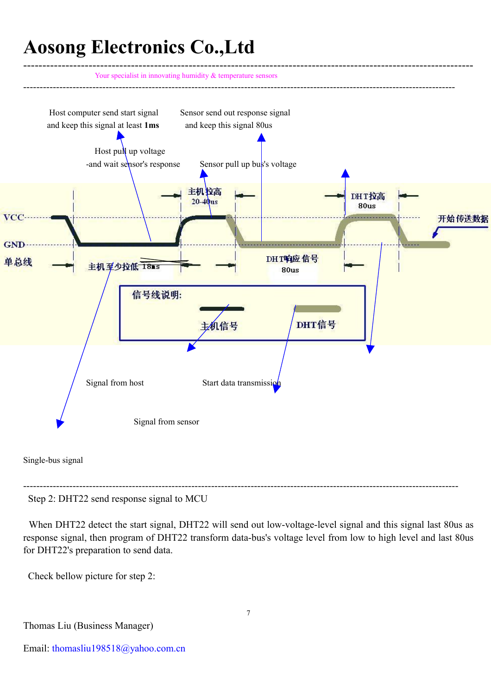



Step 2: DHT22 send response signal to MCU

 When DHT22 detect the start signal, DHT22 will send out low-voltage-level signal and this signal last 80us as response signal, then program of DHT22 transform data-bus's voltage level from low to high level and last 80us for DHT22's preparation to send data.

Check bellow picture for step 2:

Thomas Liu (Business Manager)

Email: [thomasliu198518@yahoo.com.cn](mailto:thomasliu198518@yahoo.com.cn)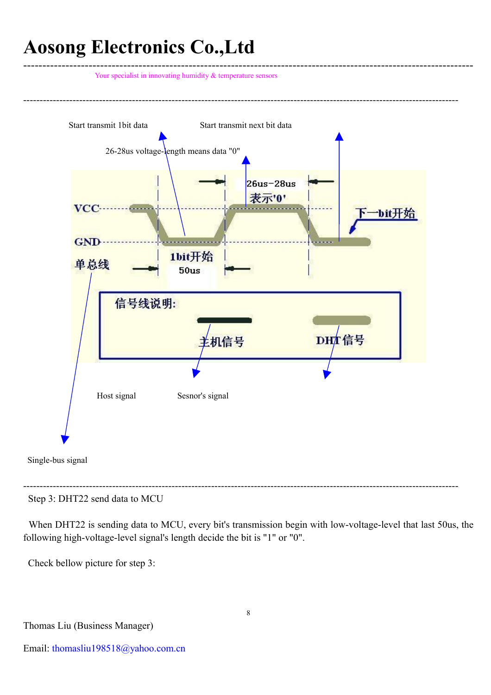--------------------------------------------------------------------------------------------------------------------- Your specialist in innovating humidity & temperature sensors



#### Step 3: DHT22 send data to MCU

 When DHT22 is sending data to MCU, every bit's transmission begin with low-voltage-level that last 50us, the following high-voltage-level signal's length decide the bit is "1" or "0".

Check bellow picture for step 3: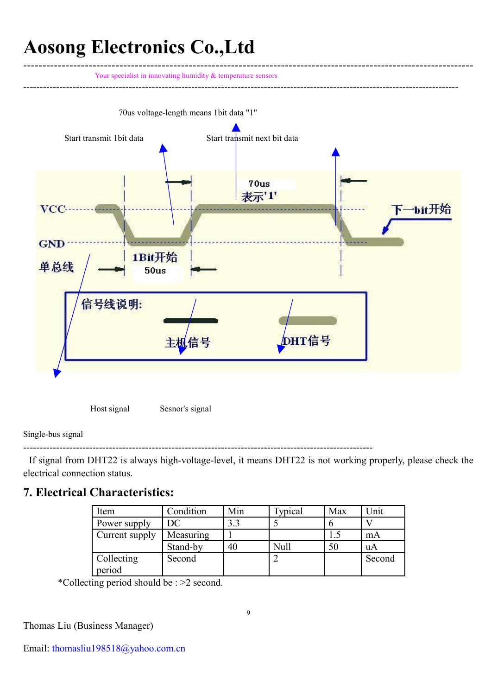--------------------------------------------------------------------------------------------------------------------- Your specialist in innovating humidity & temperature sensors



------------------------------------------------------------------------------------------------------------------------------------

Single-bus signal

 If signal from DHT22 is always high-voltage-level, it means DHT22 is not working properly, please check the electrical connection status.

----------------------------------------------------------------------------------------------------------

### **7. Electrical Characteristics:**

| Item           | Condition | Min | Typical | Max | Jnit   |
|----------------|-----------|-----|---------|-----|--------|
| Power supply   | DC        | 3.3 |         |     |        |
| Current supply | Measuring |     |         |     | mA     |
|                | Stand-by  | 40  | Null    | 50  | uA     |
| Collecting     | Second    |     |         |     | Second |
| period         |           |     |         |     |        |

\*Collecting period should be : >2 second.